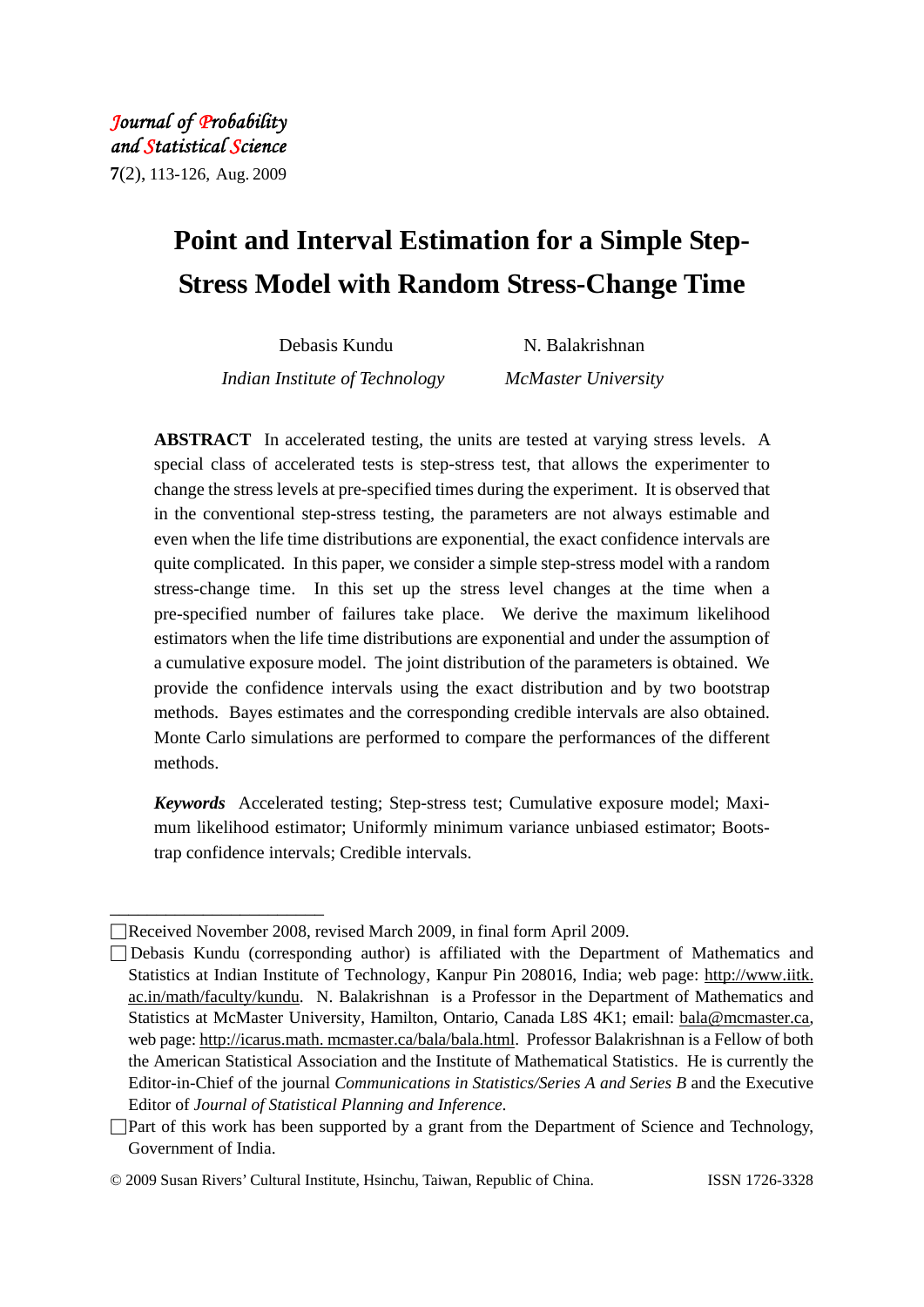# **Point and Interval Estimation for a Simple Step-Stress Model with Random Stress-Change Time**

Debasis Kundu N. Balakrishnan *Indian Institute of Technology McMaster University* 

**ABSTRACT** In accelerated testing, the units are tested at varying stress levels. A special class of accelerated tests is step-stress test, that allows the experimenter to change the stress levels at pre-specified times during the experiment. It is observed that in the conventional step-stress testing, the parameters are not always estimable and even when the life time distributions are exponential, the exact confidence intervals are quite complicated. In this paper, we consider a simple step-stress model with a random stress-change time. In this set up the stress level changes at the time when a pre-specified number of failures take place. We derive the maximum likelihood estimators when the life time distributions are exponential and under the assumption of a cumulative exposure model. The joint distribution of the parameters is obtained. We provide the confidence intervals using the exact distribution and by two bootstrap methods. Bayes estimates and the corresponding credible intervals are also obtained. Monte Carlo simulations are performed to compare the performances of the different methods.

*Keywords* Accelerated testing; Step-stress test; Cumulative exposure model; Maximum likelihood estimator; Uniformly minimum variance unbiased estimator; Bootstrap confidence intervals; Credible intervals.

\_\_\_\_\_\_\_\_\_\_\_\_\_\_\_\_\_\_\_\_\_\_\_

<sup>□</sup>Received November 2008, revised March 2009, in final form April 2009.

<sup>□</sup> Debasis Kundu (corresponding author) is affiliated with the Department of Mathematics and Statistics at Indian Institute of Technology, Kanpur Pin 208016, India; web page: http://www.iitk. ac.in/math/faculty/kundu.N. Balakrishnan is a Professor in the Department of Mathematics and Statistics at McMaster University, Hamilton, Ontario, Canada L8S 4K1; email: bala@mcmaster.ca, web page: http://icarus.math. mcmaster.ca/bala/bala.html. Professor Balakrishnan is a Fellow of both the American Statistical Association and the Institute of Mathematical Statistics. He is currently the Editor-in-Chief of the journal *Communications in Statistics/Series A and Series B* and the Executive Editor of *Journal of Statistical Planning and Inference*.

 $\Box$  Part of this work has been supported by a grant from the Department of Science and Technology, Government of India.

<sup>©</sup> 2009 Susan Rivers' Cultural Institute, Hsinchu, Taiwan, Republic of China. ISSN 1726-3328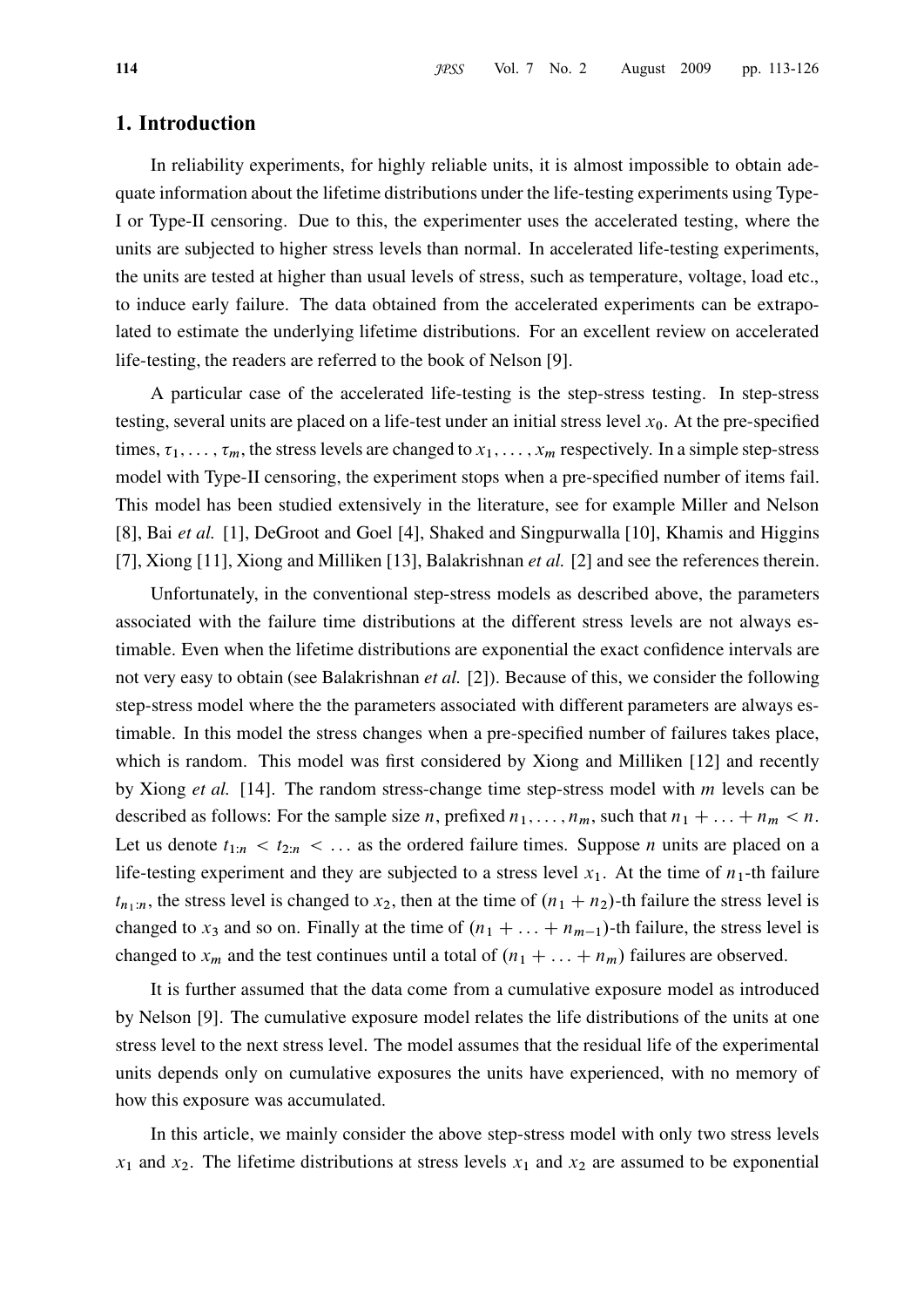# 1. Introduction

In reliability experiments, for highly reliable units, it is almost impossible to obtain adequate information about the lifetime distributions under the life-testing experiments using Type-I or Type-II censoring. Due to this, the experimenter uses the accelerated testing, where the units are subjected to higher stress levels than normal. In accelerated life-testing experiments, the units are tested at higher than usual levels of stress, such as temperature, voltage, load etc., to induce early failure. The data obtained from the accelerated experiments can be extrapolated to estimate the underlying lifetime distributions. For an excellent review on accelerated life-testing, the readers are referred to the book of Nelson [9].

A particular case of the accelerated life-testing is the step-stress testing. In step-stress testing, several units are placed on a life-test under an initial stress level  $x_0$ . At the pre-specified times,  $\tau_1, \ldots, \tau_m$ , the stress levels are changed to  $x_1, \ldots, x_m$  respectively. In a simple step-stress model with Type-II censoring, the experiment stops when a pre-specified number of items fail. This model has been studied extensively in the literature, see for example Miller and Nelson [8], Bai et al. [1], DeGroot and Goel [4], Shaked and Singpurwalla [10], Khamis and Higgins [7], Xiong [11], Xiong and Milliken [13], Balakrishnan *et al.* [2] and see the references therein.

Unfortunately, in the conventional step-stress models as described above, the parameters associated with the failure time distributions at the different stress levels are not always estimable. Even when the lifetime distributions are exponential the exact confidence intervals are not very easy to obtain (see Balakrishnan *et al.* [2]). Because of this, we consider the following step-stress model where the the parameters associated with different parameters are always estimable. In this model the stress changes when a pre-specified number of failures takes place, which is random. This model was first considered by Xiong and Milliken [12] and recently by Xiong et al. [14]. The random stress-change time step-stress model with m levels can be described as follows: For the sample size n, prefixed  $n_1, \ldots, n_m$ , such that  $n_1 + \ldots + n_m < n$ . Let us denote  $t_{1:n} < t_{2:n} < \dots$  as the ordered failure times. Suppose *n* units are placed on a life-testing experiment and they are subjected to a stress level  $x_1$ . At the time of  $n_1$ -th failure  $t_{n_1:n}$ , the stress level is changed to  $x_2$ , then at the time of  $(n_1 + n_2)$ -th failure the stress level is changed to  $x_3$  and so on. Finally at the time of  $(n_1 + \ldots + n_{m-1})$ -th failure, the stress level is changed to  $x_m$  and the test continues until a total of  $(n_1 + \ldots + n_m)$  failures are observed.

It is further assumed that the data come from a cumulative exposure model as introduced by Nelson [9]. The cumulative exposure model relates the life distributions of the units at one stress level to the next stress level. The model assumes that the residual life of the experimental units depends only on cumulative exposures the units have experienced, with no memory of how this exposure was accumulated.

In this article, we mainly consider the above step-stress model with only two stress levels  $x_1$  and  $x_2$ . The lifetime distributions at stress levels  $x_1$  and  $x_2$  are assumed to be exponential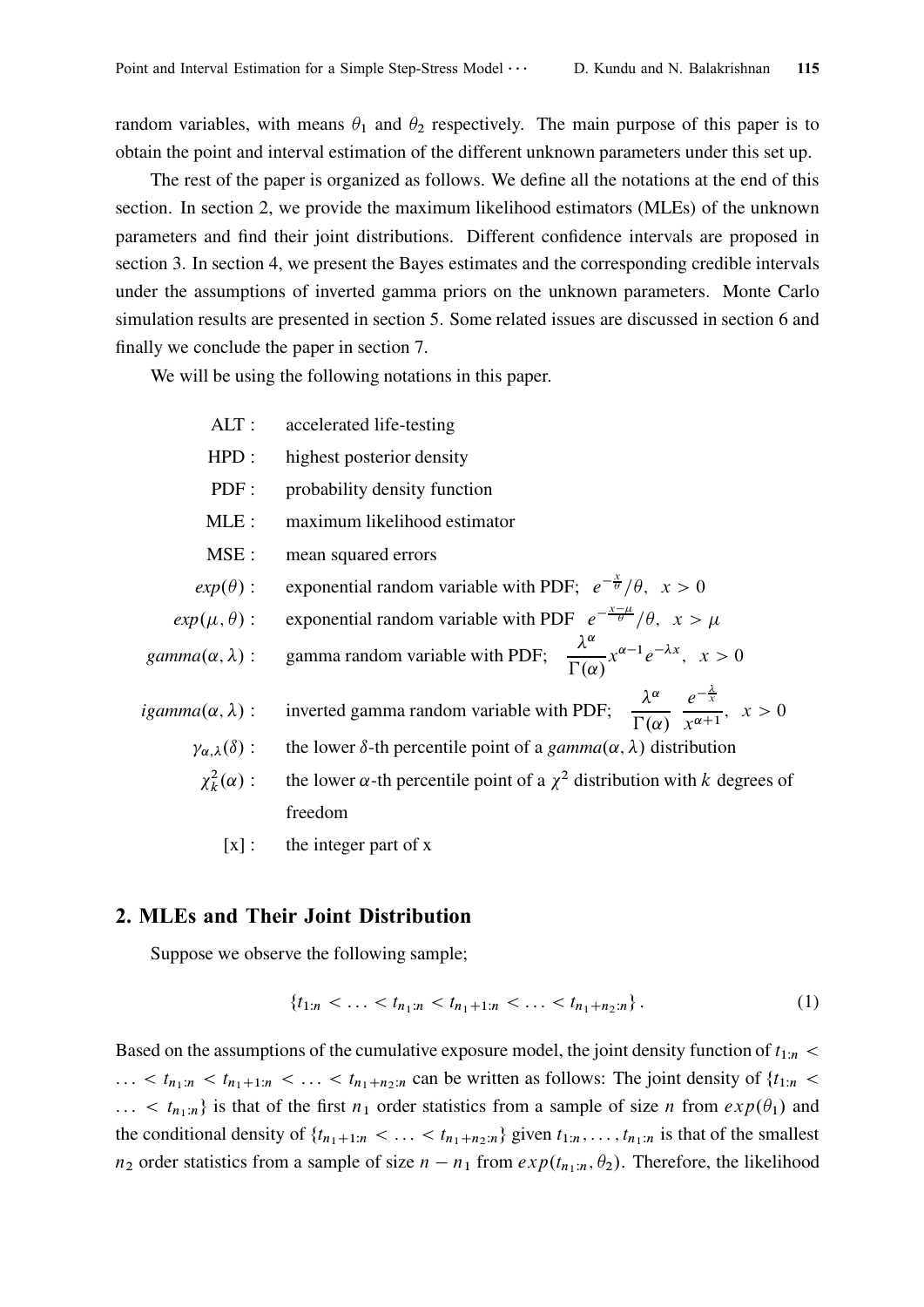random variables, with means  $\theta_1$  and  $\theta_2$  respectively. The main purpose of this paper is to obtain the point and interval estimation of the different unknown parameters under this set up.

The rest of the paper is organized as follows. We define all the notations at the end of this section. In section 2, we provide the maximum likelihood estimators (MLEs) of the unknown parameters and find their joint distributions. Different confidence intervals are proposed in section 3. In section 4, we present the Bayes estimates and the corresponding credible intervals under the assumptions of inverted gamma priors on the unknown parameters. Monte Carlo simulation results are presented in section 5. Some related issues are discussed in section 6 and finally we conclude the paper in section 7.

We will be using the following notations in this paper.

| $ALT$ :                             | accelerated life-testing                                                                                                                 |
|-------------------------------------|------------------------------------------------------------------------------------------------------------------------------------------|
| HPD:                                | highest posterior density                                                                                                                |
| PDF:                                | probability density function                                                                                                             |
| MLE:                                | maximum likelihood estimator                                                                                                             |
| MSE :                               | mean squared errors                                                                                                                      |
| $exp(\theta)$ :                     | exponential random variable with PDF; $e^{-\frac{x}{\theta}}/\theta$ , $x > 0$                                                           |
| $exp(\mu, \theta)$ :                | exponential random variable with PDF $e^{-\frac{x-\mu}{\theta}}/\theta$ , $x > \mu$                                                      |
| $gamma(\alpha, \lambda)$ :          | gamma random variable with PDF; $\frac{\lambda^{\alpha}}{\Gamma(\alpha)} x^{\alpha-1} e^{-\lambda x}, x > 0$                             |
| $igamma(\alpha, \lambda)$ :         | inverted gamma random variable with PDF; $\frac{\lambda^{\alpha}}{\Gamma(\alpha)} \frac{e^{-\frac{\lambda}{x}}}{x^{\alpha+1}}$ , $x > 0$ |
| $\gamma_{\alpha,\lambda}(\delta)$ : | the lower $\delta$ -th percentile point of a gamma $(\alpha, \lambda)$ distribution                                                      |
| $\chi^2_k(\alpha)$ :                | the lower $\alpha$ -th percentile point of a $\chi^2$ distribution with k degrees of                                                     |
|                                     | freedom                                                                                                                                  |
|                                     |                                                                                                                                          |

 $[x]$ : the integer part of x

# 2. MLEs and Their Joint Distribution

Suppose we observe the following sample;

$$
\{t_{1:n} < \ldots < t_{n_1:n} < t_{n_1+1:n} < \ldots < t_{n_1+n_2:n}\}.
$$
 (1)

Based on the assumptions of the cumulative exposure model, the joint density function of  $t_{1:n}$  $\ldots$  <  $t_{n_1+n}$  <  $t_{n_1+1:n}$  <  $\ldots$  <  $t_{n_1+n_2:n}$  can be written as follows: The joint density of  $\{t_{1:n}$  <  $\ldots < t_{n_1:n}$  is that of the first  $n_1$  order statistics from a sample of size n from  $exp(\theta_1)$  and the conditional density of  $\{t_{n_1+1:n} < \ldots < t_{n_1+n_2:n}\}$  given  $t_{1:n}, \ldots, t_{n_1:n}$  is that of the smallest  $n_2$  order statistics from a sample of size  $n - n_1$  from  $exp(t_{n_1:n}, \theta_2)$ . Therefore, the likelihood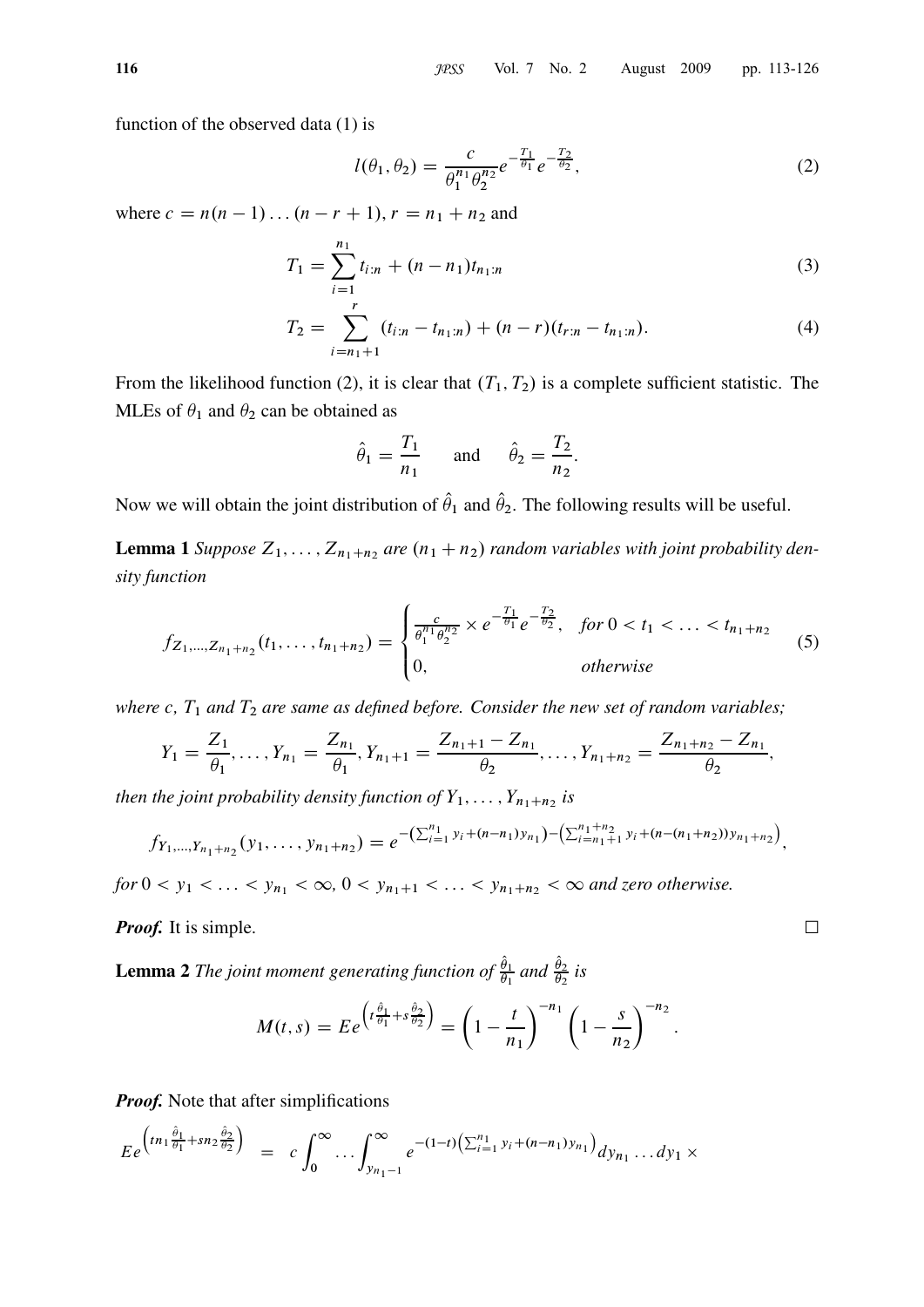116 **100** JPSS Vol. 7 No. 2 August 2009 pp. 113-126

function of the observed data (1) is

$$
l(\theta_1, \theta_2) = \frac{c}{\theta_1^{n_1} \theta_2^{n_2}} e^{-\frac{T_1}{\theta_1}} e^{-\frac{T_2}{\theta_2}},
$$
\n(2)

where  $c = n(n - 1) \dots (n - r + 1), r = n_1 + n_2$  and

$$
T_1 = \sum_{i=1}^{n_1} t_{i:n} + (n - n_1)t_{n_1:n}
$$
\n(3)

$$
T_2 = \sum_{i=n_1+1}^{r} (t_{i:n} - t_{n_1:n}) + (n-r)(t_{r:n} - t_{n_1:n}).
$$
\n(4)

:

From the likelihood function (2), it is clear that  $(T_1, T_2)$  is a complete sufficient statistic. The MLEs of  $\theta_1$  and  $\theta_2$  can be obtained as

$$
\hat{\theta}_1 = \frac{T_1}{n_1} \quad \text{and} \quad \hat{\theta}_2 = \frac{T_2}{n_2}
$$

Now we will obtain the joint distribution of  $\hat{\theta}_1$  and  $\hat{\theta}_2$ . The following results will be useful.

**Lemma 1** Suppose  $Z_1, \ldots, Z_{n_1+n_2}$  are  $(n_1+n_2)$  random variables with joint probability density function

$$
f_{Z_1,\ldots,Z_{n_1+n_2}}(t_1,\ldots,t_{n_1+n_2}) = \begin{cases} \frac{c}{\theta_1^{n_1}\theta_2^{n_2}} \times e^{-\frac{T_1}{\theta_1}} e^{-\frac{T_2}{\theta_2}}, & \text{for } 0 < t_1 < \ldots < t_{n_1+n_2} \\ 0, & \text{otherwise} \end{cases}
$$
(5)

where c,  $T_1$  and  $T_2$  are same as defined before. Consider the new set of random variables;

$$
Y_1 = \frac{Z_1}{\theta_1}, \ldots, Y_{n_1} = \frac{Z_{n_1}}{\theta_1}, Y_{n_1+1} = \frac{Z_{n_1+1} - Z_{n_1}}{\theta_2}, \ldots, Y_{n_1+n_2} = \frac{Z_{n_1+n_2} - Z_{n_1}}{\theta_2},
$$

then the joint probability density function of  $Y_1, \ldots, Y_{n_1+n_2}$  is

$$
f_{Y_1,\ldots,Y_{n_1+n_2}}(y_1,\ldots,y_{n_1+n_2})=e^{-\left(\sum_{i=1}^{n_1}y_i+(n-n_1)y_{n_1}\right)-\left(\sum_{i=n_1+1}^{n_1+n_2}y_i+(n-(n_1+n_2))y_{n_1+n_2}\right)},
$$

for  $0 < y_1 < \ldots < y_{n_1} < \infty$ ,  $0 < y_{n_1+1} < \ldots < y_{n_1+n_2} < \infty$  and zero otherwise.

**Proof.** It is simple.  $\Box$ 

**Lemma 2** The joint moment generating function of  $\frac{\theta_1}{\theta_1}$  and  $\frac{\theta_2}{\theta_2}$  is

$$
M(t,s) = E e^{\left(t \frac{\hat{\theta}_1}{\theta_1} + s \frac{\hat{\theta}_2}{\theta_2}\right)} = \left(1 - \frac{t}{n_1}\right)^{-n_1} \left(1 - \frac{s}{n_2}\right)^{-n_2}.
$$

**Proof.** Note that after simplifications

$$
E e^{\left(tn_1 \frac{\hat{\theta}_1}{\theta_1} + s n_2 \frac{\hat{\theta}_2}{\theta_2}\right)} = c \int_0^\infty \dots \int_{y_{n_1-1}}^\infty e^{-(1-t)\left(\sum_{i=1}^{n_1} y_i + (n-n_1) y_{n_1}\right)} dy_{n_1} \dots dy_1 \times
$$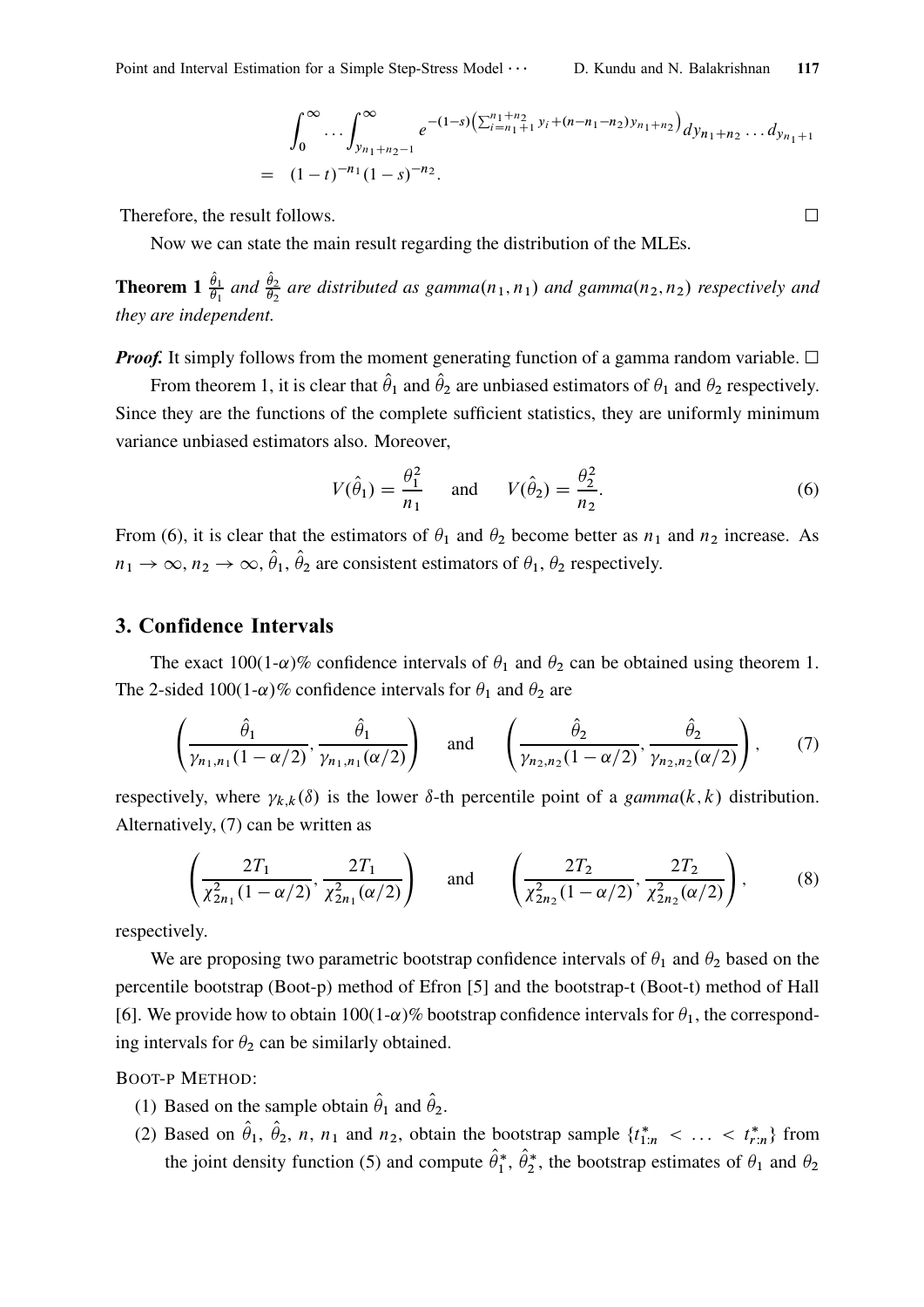$$
\int_0^\infty \cdots \int_{y_{n_1+n_2-1}}^\infty e^{-(1-s)\left(\sum_{i=n_1+1}^{n_1+n_2} y_i + (n-n_1-n_2)y_{n_1+n_2}\right)} dy_{n_1+n_2} \cdots dy_{n_1+1}
$$
\n
$$
= (1-t)^{-n_1}(1-s)^{-n_2}.
$$

Therefore, the result follows.

Now we can state the main result regarding the distribution of the MLEs.

**Theorem 1**  $\frac{\theta_1}{\theta_1}$  and  $\frac{\theta_2}{\theta_2}$  are distributed as gamma $(n_1, n_1)$  and gamma $(n_2, n_2)$  respectively and they are independent.

**Proof.** It simply follows from the moment generating function of a gamma random variable.  $\Box$ 

From theorem 1, it is clear that  $\hat{\theta}_1$  and  $\hat{\theta}_2$  are unbiased estimators of  $\theta_1$  and  $\theta_2$  respectively. Since they are the functions of the complete sufficient statistics, they are uniformly minimum variance unbiased estimators also. Moreover,

$$
V(\hat{\theta}_1) = \frac{\theta_1^2}{n_1} \quad \text{and} \quad V(\hat{\theta}_2) = \frac{\theta_2^2}{n_2}.
$$
 (6)

From (6), it is clear that the estimators of  $\theta_1$  and  $\theta_2$  become better as  $n_1$  and  $n_2$  increase. As  $n_1 \rightarrow \infty$ ,  $n_2 \rightarrow \infty$ ,  $\theta_1$ ,  $\theta_2$  are consistent estimators of  $\theta_1$ ,  $\theta_2$  respectively.

#### 3. Confidence Intervals

The exact 100(1- $\alpha$ )% confidence intervals of  $\theta_1$  and  $\theta_2$  can be obtained using theorem 1. The 2-sided 100(1- $\alpha$ )% confidence intervals for  $\theta_1$  and  $\theta_2$  are

$$
\left(\frac{\hat{\theta}_1}{\gamma_{n_1,n_1}(1-\alpha/2)},\frac{\hat{\theta}_1}{\gamma_{n_1,n_1}(\alpha/2)}\right) \quad \text{and} \quad \left(\frac{\hat{\theta}_2}{\gamma_{n_2,n_2}(1-\alpha/2)},\frac{\hat{\theta}_2}{\gamma_{n_2,n_2}(\alpha/2)}\right),\tag{7}
$$

respectively, where  $\gamma_{k,k}(\delta)$  is the lower  $\delta$ -th percentile point of a gamma(k, k) distribution. Alternatively, (7) can be written as

$$
\left(\frac{2T_1}{\chi_{2n_1}^2(1-\alpha/2)}, \frac{2T_1}{\chi_{2n_1}^2(\alpha/2)}\right) \text{ and } \left(\frac{2T_2}{\chi_{2n_2}^2(1-\alpha/2)}, \frac{2T_2}{\chi_{2n_2}^2(\alpha/2)}\right), \quad (8)
$$

respectively.

We are proposing two parametric bootstrap confidence intervals of  $\theta_1$  and  $\theta_2$  based on the percentile bootstrap (Boot-p) method of Efron [5] and the bootstrap-t (Boot-t) method of Hall [6]. We provide how to obtain  $100(1-\alpha)\%$  bootstrap confidence intervals for  $\theta_1$ , the corresponding intervals for  $\theta_2$  can be similarly obtained.

BOOT-P METHOD:

- (1) Based on the sample obtain  $\hat{\theta}_1$  and  $\hat{\theta}_2$ .
- (2) Based on  $\theta_1$ ,  $\theta_2$ , *n*, *n*<sub>1</sub> and *n*<sub>2</sub>, obtain the bootstrap sample  $\{t_{1:n}^* < \ldots < t_{r:n}^*\}$  from the joint density function (5) and compute  $\theta_1^*, \theta_2^*$ , the bootstrap estimates of  $\theta_1$  and  $\theta_2$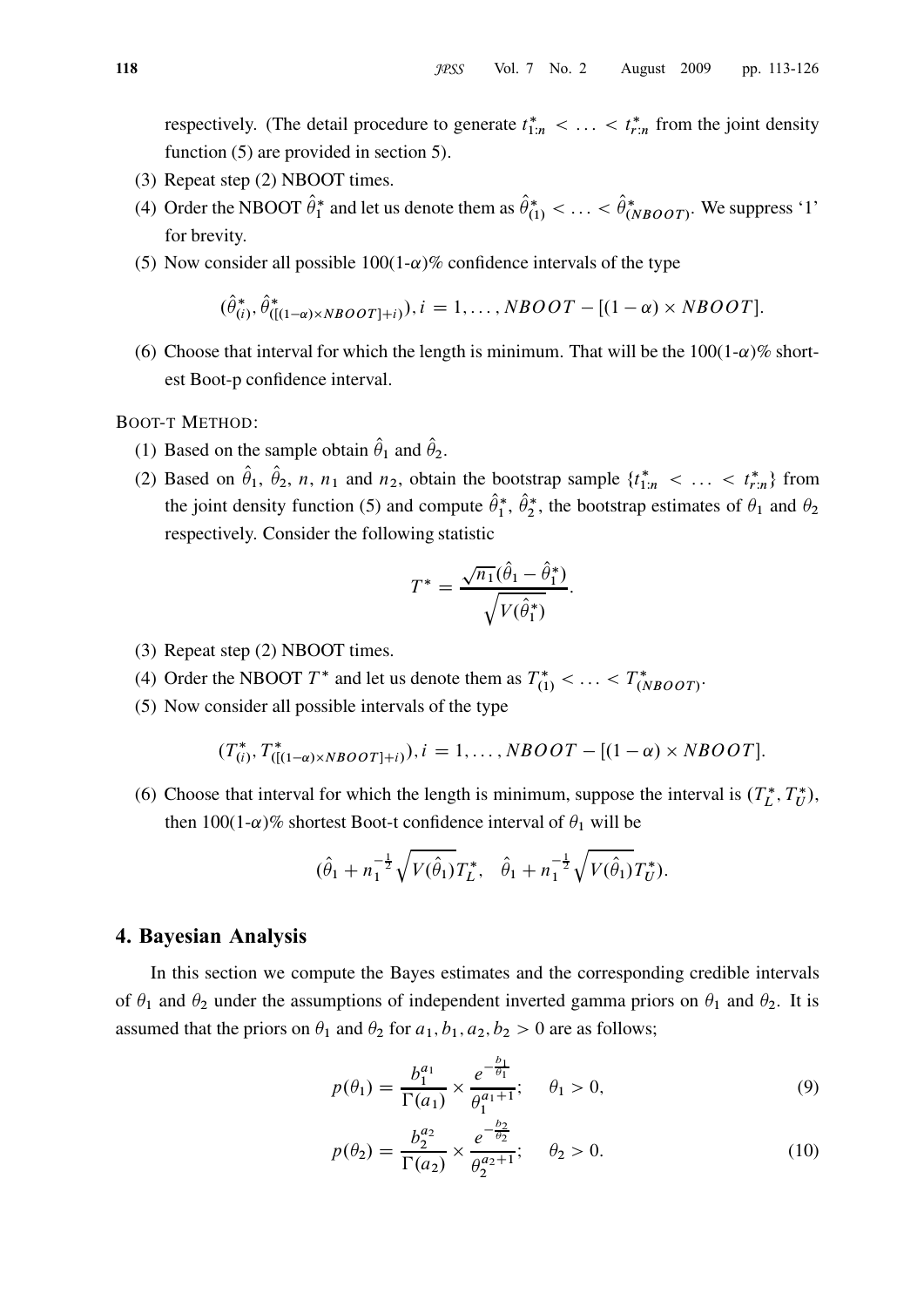respectively. (The detail procedure to generate  $t_{1:n}^* < \ldots < t_{r:n}^*$  from the joint density function (5) are provided in section 5).

- (3) Repeat step (2) NBOOT times.
- (4) Order the NBOOT  $\theta_1^*$  and let us denote them as  $\theta_{(1)}^* < \dots < \theta_{(NBOOT)}^*$ . We suppress '1' for brevity.
- (5) Now consider all possible  $100(1-\alpha)\%$  confidence intervals of the type

$$
(\hat{\theta}_{(i)}^*, \hat{\theta}_{([1-\alpha)\times NBOOT]+i)}^*), i = 1, \ldots, NBOOT - [(1-\alpha)\times NBOOT].
$$

(6) Choose that interval for which the length is minimum. That will be the  $100(1-\alpha)\%$  shortest Boot-p confidence interval.

BOOT-T METHOD:

- (1) Based on the sample obtain  $\hat{\theta}_1$  and  $\hat{\theta}_2$ .
- (2) Based on  $\theta_1$ ,  $\theta_2$ , *n*, *n*<sub>1</sub> and *n*<sub>2</sub>, obtain the bootstrap sample  $\{t_{1:n}^* < \ldots < t_{r:n}^*\}$  from the joint density function (5) and compute  $\theta_1^*, \theta_2^*$ , the bootstrap estimates of  $\theta_1$  and  $\theta_2$ respectively. Consider the following statistic

$$
T^* = \frac{\sqrt{n_1}(\hat{\theta}_1 - \hat{\theta}_1^*)}{\sqrt{V(\hat{\theta}_1^*)}}.
$$

- (3) Repeat step (2) NBOOT times.
- (4) Order the NBOOT  $T^*$  and let us denote them as  $T^*_{(1)} < \ldots < T^*_{(NBOOT)}$ .
- (5) Now consider all possible intervals of the type

$$
(T_{(i)}^*, T_{([1-\alpha)\times NBOOT]+i}^*), i=1,\ldots, NBOOT-[(1-\alpha)\times NBOOT].
$$

(6) Choose that interval for which the length is minimum, suppose the interval is  $(T_L^*, T_U^*)$ , then 100(1- $\alpha$ )% shortest Boot-t confidence interval of  $\theta_1$  will be

$$
(\hat{\theta}_1 + n_1^{-\frac{1}{2}} \sqrt{V(\hat{\theta}_1)} T_L^*, \quad \hat{\theta}_1 + n_1^{-\frac{1}{2}} \sqrt{V(\hat{\theta}_1)} T_U^*).
$$

#### 4. Bayesian Analysis

In this section we compute the Bayes estimates and the corresponding credible intervals of  $\theta_1$  and  $\theta_2$  under the assumptions of independent inverted gamma priors on  $\theta_1$  and  $\theta_2$ . It is assumed that the priors on  $\theta_1$  and  $\theta_2$  for  $a_1, b_1, a_2, b_2 > 0$  are as follows;

$$
p(\theta_1) = \frac{b_1^{a_1}}{\Gamma(a_1)} \times \frac{e^{-\frac{b_1}{\theta_1}}}{\theta_1^{a_1+1}}; \quad \theta_1 > 0,
$$
\n(9)

$$
p(\theta_2) = \frac{b_2^{a_2}}{\Gamma(a_2)} \times \frac{e^{-\frac{b_2}{\theta_2}}}{\theta_2^{a_2+1}}; \quad \theta_2 > 0.
$$
 (10)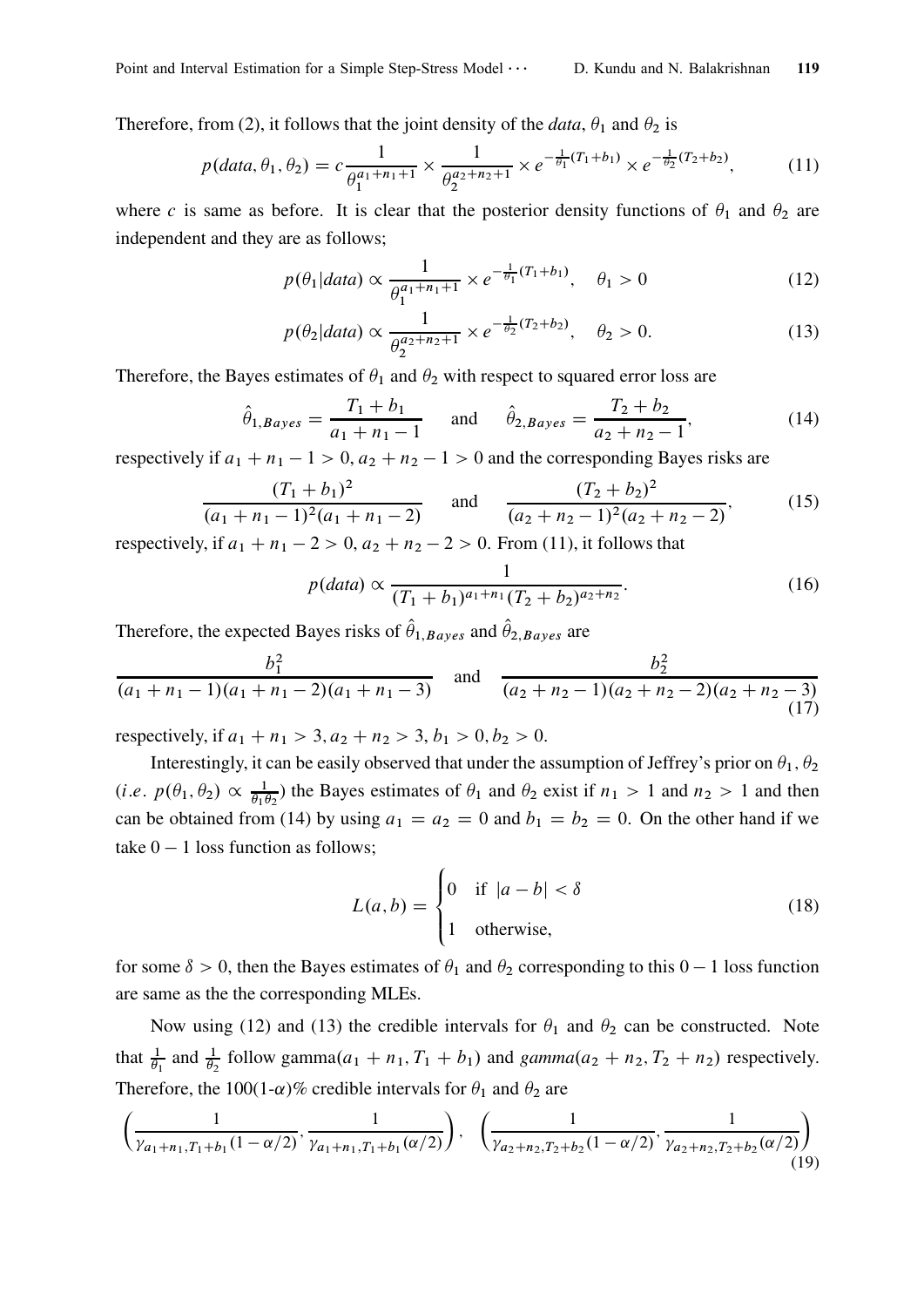Therefore, from (2), it follows that the joint density of the *data*,  $\theta_1$  and  $\theta_2$  is

$$
p(data, \theta_1, \theta_2) = c \frac{1}{\theta_1^{a_1 + n_1 + 1}} \times \frac{1}{\theta_2^{a_2 + n_2 + 1}} \times e^{-\frac{1}{\theta_1}(T_1 + b_1)} \times e^{-\frac{1}{\theta_2}(T_2 + b_2)},
$$
(11)

where c is same as before. It is clear that the posterior density functions of  $\theta_1$  and  $\theta_2$  are independent and they are as follows;

$$
p(\theta_1|data) \propto \frac{1}{\theta_1^{a_1+n_1+1}} \times e^{-\frac{1}{\theta_1}(T_1+b_1)}, \quad \theta_1 > 0 \tag{12}
$$

$$
p(\theta_2|data) \propto \frac{1}{\theta_2^{a_2+n_2+1}} \times e^{-\frac{1}{\theta_2}(T_2+b_2)}, \quad \theta_2 > 0.
$$
 (13)

Therefore, the Bayes estimates of  $\theta_1$  and  $\theta_2$  with respect to squared error loss are

$$
\hat{\theta}_{1,Bayes} = \frac{T_1 + b_1}{a_1 + n_1 - 1}
$$
 and  $\hat{\theta}_{2,Bayes} = \frac{T_2 + b_2}{a_2 + n_2 - 1}$ , (14)

respectively if  $a_1 + n_1 - 1 > 0$ ,  $a_2 + n_2 - 1 > 0$  and the corresponding Bayes risks are

$$
\frac{(T_1 + b_1)^2}{(a_1 + n_1 - 1)^2 (a_1 + n_1 - 2)} \quad \text{and} \quad \frac{(T_2 + b_2)^2}{(a_2 + n_2 - 1)^2 (a_2 + n_2 - 2)}, \tag{15}
$$

respectively, if  $a_1 + n_1 - 2 > 0$ ,  $a_2 + n_2 - 2 > 0$ . From (11), it follows that

$$
p(data) \propto \frac{1}{(T_1 + b_1)^{a_1 + n_1} (T_2 + b_2)^{a_2 + n_2}}.
$$
\n(16)

Therefore, the expected Bayes risks of  $\hat{\theta}_{1,Bayes}$  and  $\hat{\theta}_{2,Bayes}$  are

$$
\frac{b_1^2}{(a_1+n_1-1)(a_1+n_1-2)(a_1+n_1-3)} \quad \text{and} \quad \frac{b_2^2}{(a_2+n_2-1)(a_2+n_2-2)(a_2+n_2-3)}
$$
(17)

respectively, if  $a_1 + n_1 > 3$ ,  $a_2 + n_2 > 3$ ,  $b_1 > 0$ ,  $b_2 > 0$ .

Interestingly, it can be easily observed that under the assumption of Jeffrey's prior on  $\theta_1$ ,  $\theta_2$  $(i.e. p(\theta_1, \theta_2) \propto \frac{1}{\theta_1 t}$  $\frac{1}{\theta_1 \theta_2}$ ) the Bayes estimates of  $\theta_1$  and  $\theta_2$  exist if  $n_1 > 1$  and  $n_2 > 1$  and then can be obtained from (14) by using  $a_1 = a_2 = 0$  and  $b_1 = b_2 = 0$ . On the other hand if we take  $0 - 1$  loss function as follows;

$$
L(a,b) = \begin{cases} 0 & \text{if } |a-b| < \delta \\ 1 & \text{otherwise,} \end{cases}
$$
 (18)

for some  $\delta > 0$ , then the Bayes estimates of  $\theta_1$  and  $\theta_2$  corresponding to this  $0 - 1$  loss function are same as the the corresponding MLEs.

Now using (12) and (13) the credible intervals for  $\theta_1$  and  $\theta_2$  can be constructed. Note that  $\frac{1}{\theta_1}$  and  $\frac{1}{\theta_2}$  follow gamma $(a_1 + n_1, T_1 + b_1)$  and  $gamma(a_2 + n_2, T_2 + n_2)$  respectively. Therefore, the 100(1- $\alpha$ )% credible intervals for  $\theta_1$  and  $\theta_2$  are

$$
\left(\frac{1}{\gamma_{a_1+n_1,T_1+b_1}(1-\alpha/2)},\frac{1}{\gamma_{a_1+n_1,T_1+b_1}(\alpha/2)}\right), \quad \left(\frac{1}{\gamma_{a_2+n_2,T_2+b_2}(1-\alpha/2)},\frac{1}{\gamma_{a_2+n_2,T_2+b_2}(\alpha/2)}\right) \tag{19}
$$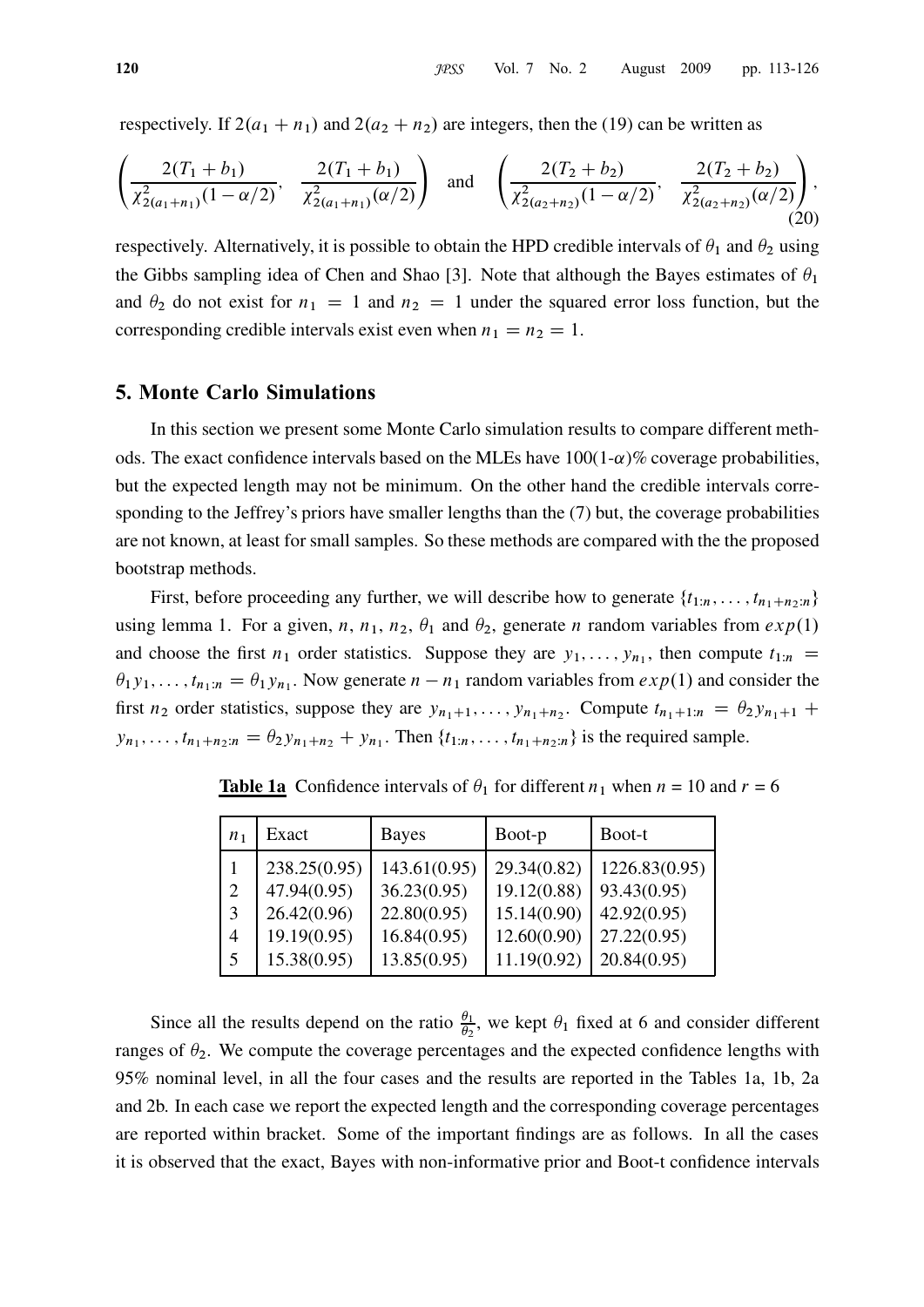respectively. If  $2(a_1 + n_1)$  and  $2(a_2 + n_2)$  are integers, then the (19) can be written as

$$
\left(\frac{2(T_1+b_1)}{\chi_{2(a_1+n_1)}^2(1-\alpha/2)}, \frac{2(T_1+b_1)}{\chi_{2(a_1+n_1)}^2(\alpha/2)}\right) \text{ and } \left(\frac{2(T_2+b_2)}{\chi_{2(a_2+n_2)}^2(1-\alpha/2)}, \frac{2(T_2+b_2)}{\chi_{2(a_2+n_2)}^2(\alpha/2)}\right),\tag{20}
$$

respectively. Alternatively, it is possible to obtain the HPD credible intervals of  $\theta_1$  and  $\theta_2$  using the Gibbs sampling idea of Chen and Shao [3]. Note that although the Bayes estimates of  $\theta_1$ and  $\theta_2$  do not exist for  $n_1 = 1$  and  $n_2 = 1$  under the squared error loss function, but the corresponding credible intervals exist even when  $n_1 = n_2 = 1$ .

#### 5. Monte Carlo Simulations

In this section we present some Monte Carlo simulation results to compare different methods. The exact confidence intervals based on the MLEs have  $100(1-\alpha)\%$  coverage probabilities, but the expected length may not be minimum. On the other hand the credible intervals corresponding to the Jeffrey's priors have smaller lengths than the (7) but, the coverage probabilities are not known, at least for small samples. So these methods are compared with the the proposed bootstrap methods.

First, before proceeding any further, we will describe how to generate  $\{t_{1:n}, \ldots, t_{n_1+n_2:n}\}$ using lemma 1. For a given, n, n<sub>1</sub>, n<sub>2</sub>,  $\theta_1$  and  $\theta_2$ , generate n random variables from  $exp(1)$ and choose the first  $n_1$  order statistics. Suppose they are  $y_1, \ldots, y_{n_1}$ , then compute  $t_{1:n}$  $\theta_1 y_1, \ldots, t_{n_1:n} = \theta_1 y_{n_1}$ . Now generate  $n - n_1$  random variables from  $exp(1)$  and consider the first  $n_2$  order statistics, suppose they are  $y_{n_1+1}, \ldots, y_{n_1+n_2}$ . Compute  $t_{n_1+1:n} = \theta_2 y_{n_1+1} +$  $y_{n_1}, \ldots, t_{n_1+n_2:n} = \theta_2 y_{n_1+n_2} + y_{n_1}$ . Then  $\{t_{1:n}, \ldots, t_{n_1+n_2:n}\}$  is the required sample.

| n <sub>1</sub> | Exact        | <b>Bayes</b> | Boot-p      | Boot-t        |
|----------------|--------------|--------------|-------------|---------------|
|                | 238.25(0.95) | 143.61(0.95) | 29.34(0.82) | 1226.83(0.95) |
| $\overline{2}$ | 47.94(0.95)  | 36.23(0.95)  | 19.12(0.88) | 93.43(0.95)   |
| 3              | 26.42(0.96)  | 22.80(0.95)  | 15.14(0.90) | 42.92(0.95)   |
| 4              | 19.19(0.95)  | 16.84(0.95)  | 12.60(0.90) | 27.22(0.95)   |
| 5              | 15.38(0.95)  | 13.85(0.95)  | 11.19(0.92) | 20.84(0.95)   |

**Table 1a** Confidence intervals of  $\theta_1$  for different  $n_1$  when  $n = 10$  and  $r = 6$ 

Since all the results depend on the ratio  $\frac{\theta_1}{\theta_2}$ , we kept  $\theta_1$  fixed at 6 and consider different ranges of  $\theta_2$ . We compute the coverage percentages and the expected confidence lengths with 95% nominal level, in all the four cases and the results are reported in the Tables 1a, 1b, 2a and 2b. In each case we report the expected length and the corresponding coverage percentages are reported within bracket. Some of the important findings are as follows. In all the cases it is observed that the exact, Bayes with non-informative prior and Boot-t confidence intervals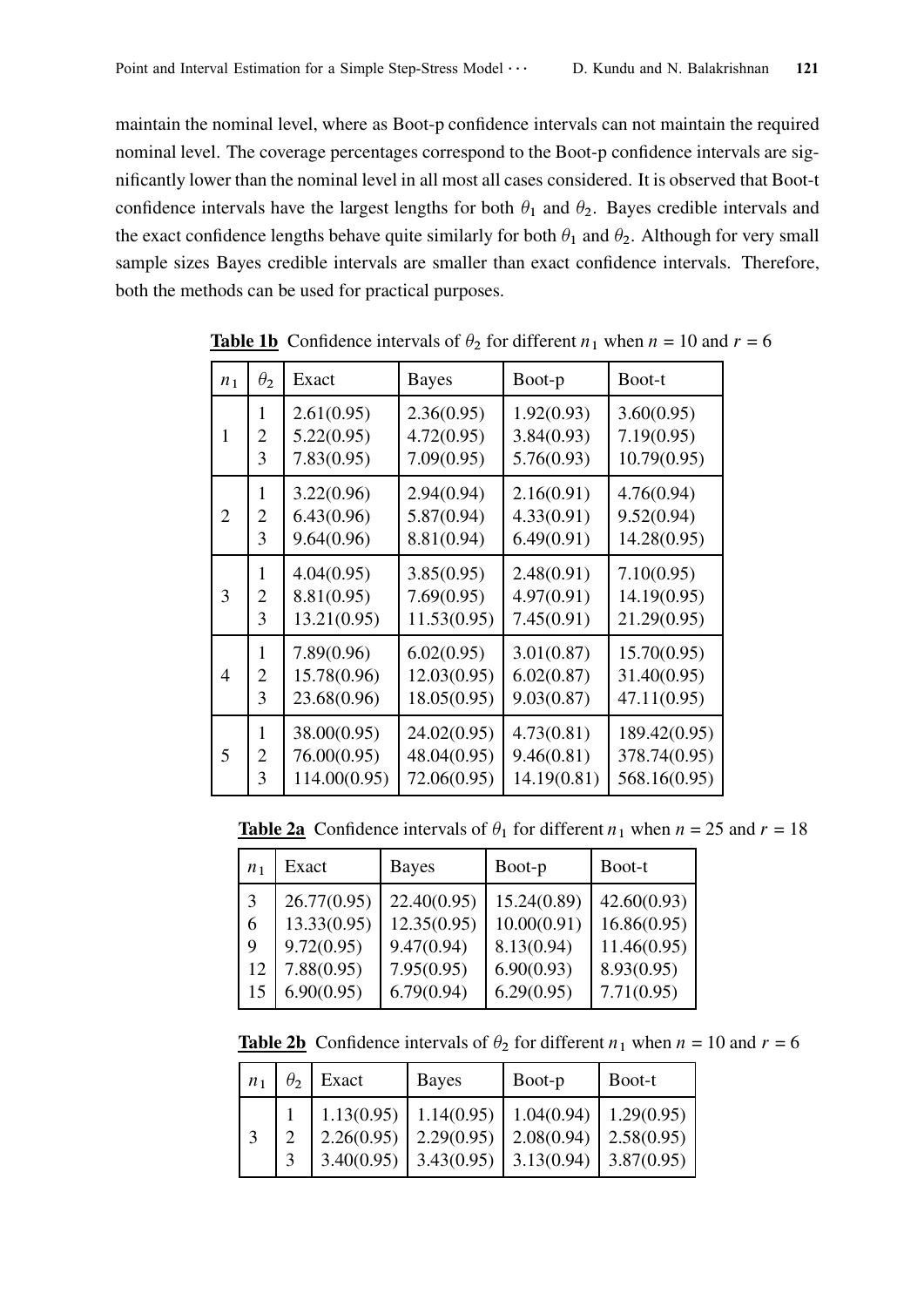maintain the nominal level, where as Boot-p confidence intervals can not maintain the required nominal level. The coverage percentages correspond to the Boot-p confidence intervals are significantly lower than the nominal level in all most all cases considered. It is observed that Boot-t confidence intervals have the largest lengths for both  $\theta_1$  and  $\theta_2$ . Bayes credible intervals and the exact confidence lengths behave quite similarly for both  $\theta_1$  and  $\theta_2$ . Although for very small sample sizes Bayes credible intervals are smaller than exact confidence intervals. Therefore, both the methods can be used for practical purposes.

| n <sub>1</sub> | $\theta_2$     | Exact        | <b>Bayes</b> | Boot-p      | Boot-t       |
|----------------|----------------|--------------|--------------|-------------|--------------|
| 1              | 1              | 2.61(0.95)   | 2.36(0.95)   | 1.92(0.93)  | 3.60(0.95)   |
|                | $\overline{2}$ | 5.22(0.95)   | 4.72(0.95)   | 3.84(0.93)  | 7.19(0.95)   |
|                | 3              | 7.83(0.95)   | 7.09(0.95)   | 5.76(0.93)  | 10.79(0.95)  |
| $\overline{2}$ | 1              | 3.22(0.96)   | 2.94(0.94)   | 2.16(0.91)  | 4.76(0.94)   |
|                | $\overline{2}$ | 6.43(0.96)   | 5.87(0.94)   | 4.33(0.91)  | 9.52(0.94)   |
|                | 3              | 9.64(0.96)   | 8.81(0.94)   | 6.49(0.91)  | 14.28(0.95)  |
| 3              | 1              | 4.04(0.95)   | 3.85(0.95)   | 2.48(0.91)  | 7.10(0.95)   |
|                | $\overline{2}$ | 8.81(0.95)   | 7.69(0.95)   | 4.97(0.91)  | 14.19(0.95)  |
|                | 3              | 13.21(0.95)  | 11.53(0.95)  | 7.45(0.91)  | 21.29(0.95)  |
| 4              | 1              | 7.89(0.96)   | 6.02(0.95)   | 3.01(0.87)  | 15.70(0.95)  |
|                | $\overline{2}$ | 15.78(0.96)  | 12.03(0.95)  | 6.02(0.87)  | 31.40(0.95)  |
|                | 3              | 23.68(0.96)  | 18.05(0.95)  | 9.03(0.87)  | 47.11(0.95)  |
| 5              | 1              | 38.00(0.95)  | 24.02(0.95)  | 4.73(0.81)  | 189.42(0.95) |
|                | $\overline{2}$ | 76.00(0.95)  | 48.04(0.95)  | 9.46(0.81)  | 378.74(0.95) |
|                | 3              | 114.00(0.95) | 72.06(0.95)  | 14.19(0.81) | 568.16(0.95) |

**Table 1b** Confidence intervals of  $\theta_2$  for different  $n_1$  when  $n = 10$  and  $r = 6$ 

**Table 2a** Confidence intervals of  $\theta_1$  for different  $n_1$  when  $n = 25$  and  $r = 18$ 

| n <sub>1</sub> | Exact       | <b>Bayes</b> | Boot-p      | Boot-t      |
|----------------|-------------|--------------|-------------|-------------|
| 3              | 26.77(0.95) | 22.40(0.95)  | 15.24(0.89) | 42.60(0.93) |
| 6              | 13.33(0.95) | 12.35(0.95)  | 10.00(0.91) | 16.86(0.95) |
| 9              | 9.72(0.95)  | 9.47(0.94)   | 8.13(0.94)  | 11.46(0.95) |
| 12             | 7.88(0.95)  | 7.95(0.95)   | 6.90(0.93)  | 8.93(0.95)  |
| 15             | 6.90(0.95)  | 6.79(0.94)   | 6.29(0.95)  | 7.71(0.95)  |

**Table 2b** Confidence intervals of  $\theta_2$  for different  $n_1$  when  $n = 10$  and  $r = 6$ 

| n <sub>1</sub> | $\theta_2$    | Exact                    | Bayes                    | Boot-p                   | Boot-t                     |
|----------------|---------------|--------------------------|--------------------------|--------------------------|----------------------------|
| 3              | $\mathcal{D}$ | 1.13(0.95)<br>2.26(0.95) | 1.14(0.95)<br>2.29(0.95) | 1.04(0.94)<br>2.08(0.94) | $1.29(0.95)$<br>2.58(0.95) |
|                | 3             | 3.40(0.95)               | 3.43(0.95)               | 3.13(0.94)               | 3.87(0.95)                 |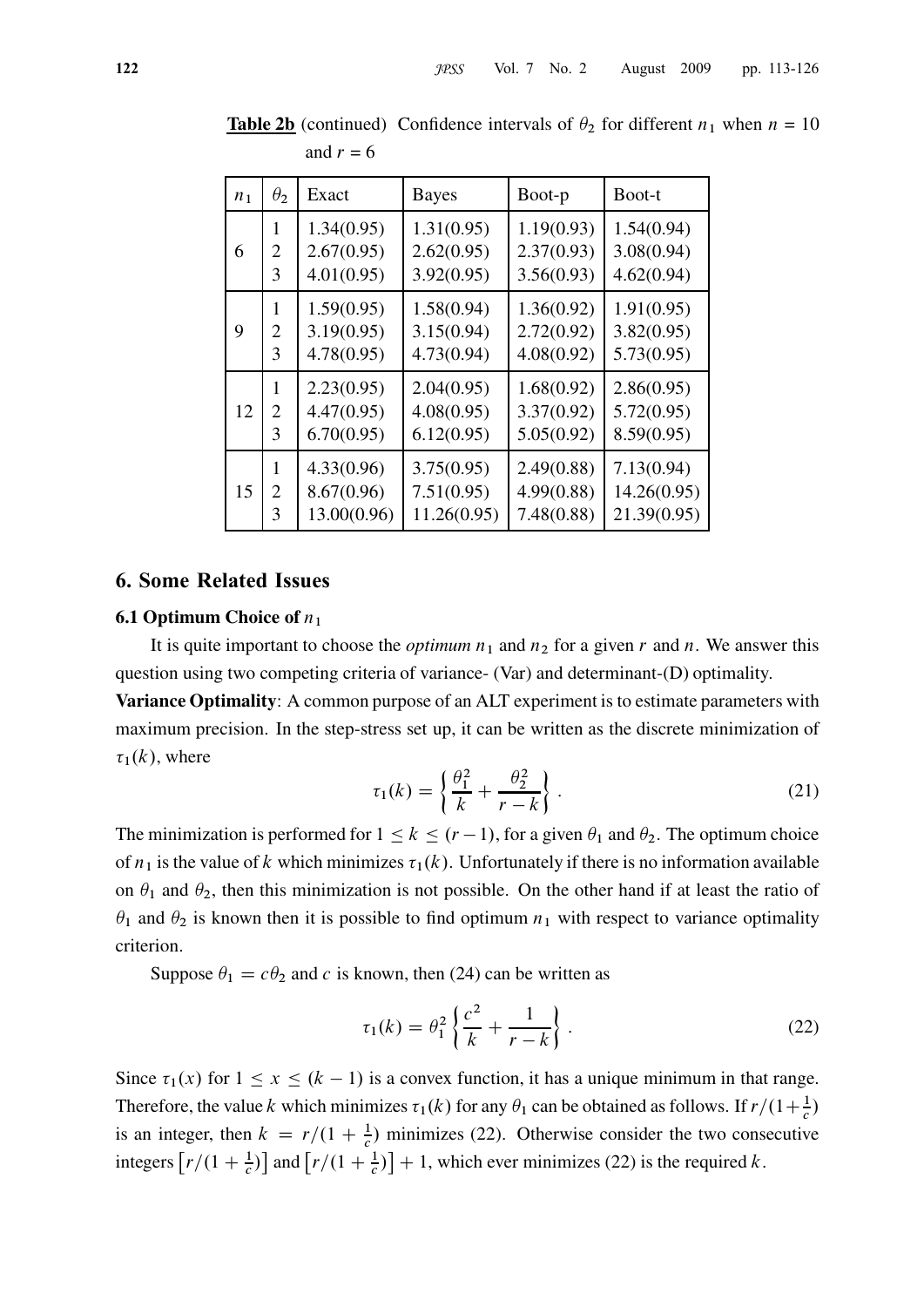| n <sub>1</sub> | $\theta_2$     | Exact       | <b>Bayes</b> | Boot-p     | Boot-t      |
|----------------|----------------|-------------|--------------|------------|-------------|
| 6              | 1              | 1.34(0.95)  | 1.31(0.95)   | 1.19(0.93) | 1.54(0.94)  |
|                | 2              | 2.67(0.95)  | 2.62(0.95)   | 2.37(0.93) | 3.08(0.94)  |
|                | 3              | 4.01(0.95)  | 3.92(0.95)   | 3.56(0.93) | 4.62(0.94)  |
| 9              | 1              | 1.59(0.95)  | 1.58(0.94)   | 1.36(0.92) | 1.91(0.95)  |
|                | 2              | 3.19(0.95)  | 3.15(0.94)   | 2.72(0.92) | 3.82(0.95)  |
|                | 3              | 4.78(0.95)  | 4.73(0.94)   | 4.08(0.92) | 5.73(0.95)  |
| 12             | 1              | 2.23(0.95)  | 2.04(0.95)   | 1.68(0.92) | 2.86(0.95)  |
|                | $\overline{2}$ | 4.47(0.95)  | 4.08(0.95)   | 3.37(0.92) | 5.72(0.95)  |
|                | 3              | 6.70(0.95)  | 6.12(0.95)   | 5.05(0.92) | 8.59(0.95)  |
| 15             | 1              | 4.33(0.96)  | 3.75(0.95)   | 2.49(0.88) | 7.13(0.94)  |
|                | 2              | 8.67(0.96)  | 7.51(0.95)   | 4.99(0.88) | 14.26(0.95) |
|                | 3              | 13.00(0.96) | 11.26(0.95)  | 7.48(0.88) | 21.39(0.95) |

**Table 2b** (continued) Confidence intervals of  $\theta_2$  for different  $n_1$  when  $n = 10$ and  $r = 6$ 

#### 6. Some Related Issues

#### **6.1 Optimum Choice of**  $n_1$

It is quite important to choose the *optimum*  $n_1$  and  $n_2$  for a given r and n. We answer this question using two competing criteria of variance- (Var) and determinant-(D) optimality.

Variance Optimality: A common purpose of an ALT experiment is to estimate parameters with maximum precision. In the step-stress set up, it can be written as the discrete minimization of  $\tau_1(k)$ , where

$$
\tau_1(k) = \left\{ \frac{\theta_1^2}{k} + \frac{\theta_2^2}{r - k} \right\}.
$$
\n(21)

The minimization is performed for  $1 \le k \le (r - 1)$ , for a given  $\theta_1$  and  $\theta_2$ . The optimum choice of  $n_1$  is the value of k which minimizes  $\tau_1(k)$ . Unfortunately if there is no information available on  $\theta_1$  and  $\theta_2$ , then this minimization is not possible. On the other hand if at least the ratio of  $\theta_1$  and  $\theta_2$  is known then it is possible to find optimum  $n_1$  with respect to variance optimality criterion.

Suppose  $\theta_1 = c\theta_2$  and c is known, then (24) can be written as

$$
\tau_1(k) = \theta_1^2 \left\{ \frac{c^2}{k} + \frac{1}{r - k} \right\}.
$$
 (22)

Since  $\tau_1(x)$  for  $1 \le x \le (k - 1)$  is a convex function, it has a unique minimum in that range. Therefore, the value k which minimizes  $\tau_1(k)$  for any  $\theta_1$  can be obtained as follows. If  $r/(1+\frac{1}{c})$ is an integer, then  $k = r/(1 + \frac{1}{c})$  minimizes (22). Otherwise consider the two consecutive integers  $\left[ r/(1+\frac{1}{c}) \right]$  and  $\left[ r/(1+\frac{1}{c}) \right] + 1$ , which ever minimizes (22) is the required k.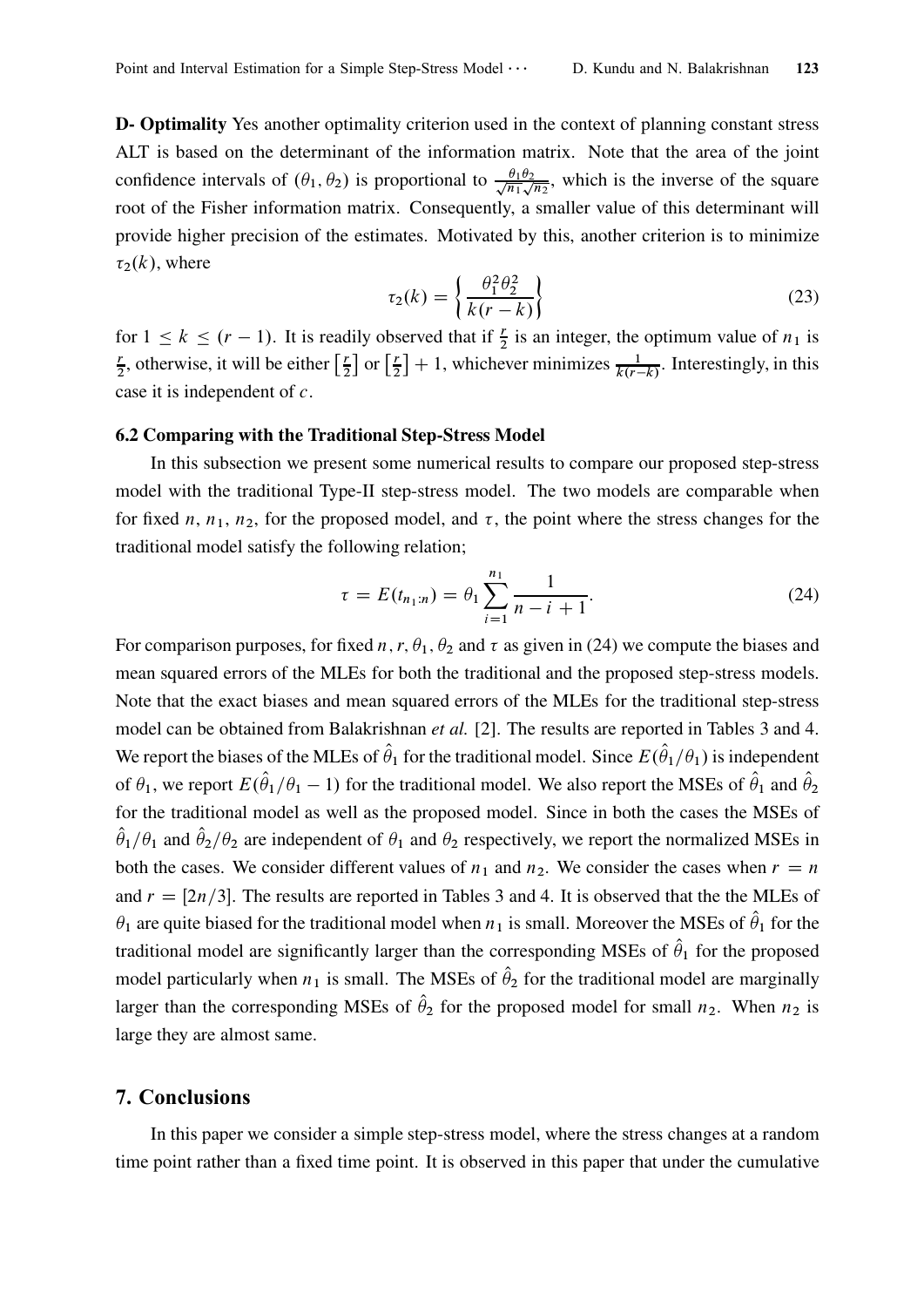D- Optimality Yes another optimality criterion used in the context of planning constant stress ALT is based on the determinant of the information matrix. Note that the area of the joint confidence intervals of  $(\theta_1, \theta_2)$  is proportional to  $\frac{\theta_1 \theta_2}{\sqrt{n_1}}$  $\frac{\theta_1 \theta_2}{\theta_1 \sqrt{n_2}}$ , which is the inverse of the square root of the Fisher information matrix. Consequently, a smaller value of this determinant will provide higher precision of the estimates. Motivated by this, another criterion is to minimize  $\tau_2(k)$ , where

$$
\tau_2(k) = \left\{ \frac{\theta_1^2 \theta_2^2}{k(r-k)} \right\} \tag{23}
$$

for  $1 \le k \le (r - 1)$ . It is readily observed that if  $\frac{r}{2}$  is an integer, the optimum value of  $n_1$  is r  $\frac{r}{2}$ , otherwise, it will be either  $\left[\frac{r}{2}\right]$  $\frac{r}{2}$  or  $\left[\frac{r}{2}\right]$  $\left[\frac{r}{2}\right] + 1$ , whichever minimizes  $\frac{1}{k(r-k)}$ . Interestingly, in this case it is independent of c.

### 6.2 Comparing with the Traditional Step-Stress Model

In this subsection we present some numerical results to compare our proposed step-stress model with the traditional Type-II step-stress model. The two models are comparable when for fixed n,  $n_1$ ,  $n_2$ , for the proposed model, and  $\tau$ , the point where the stress changes for the traditional model satisfy the following relation;

$$
\tau = E(t_{n_1:n}) = \theta_1 \sum_{i=1}^{n_1} \frac{1}{n - i + 1}.
$$
\n(24)

For comparison purposes, for fixed n, r,  $\theta_1$ ,  $\theta_2$  and  $\tau$  as given in (24) we compute the biases and mean squared errors of the MLEs for both the traditional and the proposed step-stress models. Note that the exact biases and mean squared errors of the MLEs for the traditional step-stress model can be obtained from Balakrishnan *et al.* [2]. The results are reported in Tables 3 and 4. We report the biases of the MLEs of  $\hat{\theta}_1$  for the traditional model. Since  $E(\hat{\theta}_1/\theta_1)$  is independent of  $\theta_1$ , we report  $E(\hat{\theta}_1/\theta_1-1)$  for the traditional model. We also report the MSEs of  $\hat{\theta}_1$  and  $\hat{\theta}_2$ for the traditional model as well as the proposed model. Since in both the cases the MSEs of  $\hat{\theta}_1/\theta_1$  and  $\hat{\theta}_2/\theta_2$  are independent of  $\theta_1$  and  $\theta_2$  respectively, we report the normalized MSEs in both the cases. We consider different values of  $n_1$  and  $n_2$ . We consider the cases when  $r = n$ and  $r = \lfloor 2n/3 \rfloor$ . The results are reported in Tables 3 and 4. It is observed that the the MLEs of  $\theta_1$  are quite biased for the traditional model when  $n_1$  is small. Moreover the MSEs of  $\hat{\theta}_1$  for the traditional model are significantly larger than the corresponding MSEs of  $\hat{\theta}_1$  for the proposed model particularly when  $n_1$  is small. The MSEs of  $\hat{\theta}_2$  for the traditional model are marginally larger than the corresponding MSEs of  $\hat{\theta}_2$  for the proposed model for small  $n_2$ . When  $n_2$  is large they are almost same.

## 7. Conclusions

In this paper we consider a simple step-stress model, where the stress changes at a random time point rather than a fixed time point. It is observed in this paper that under the cumulative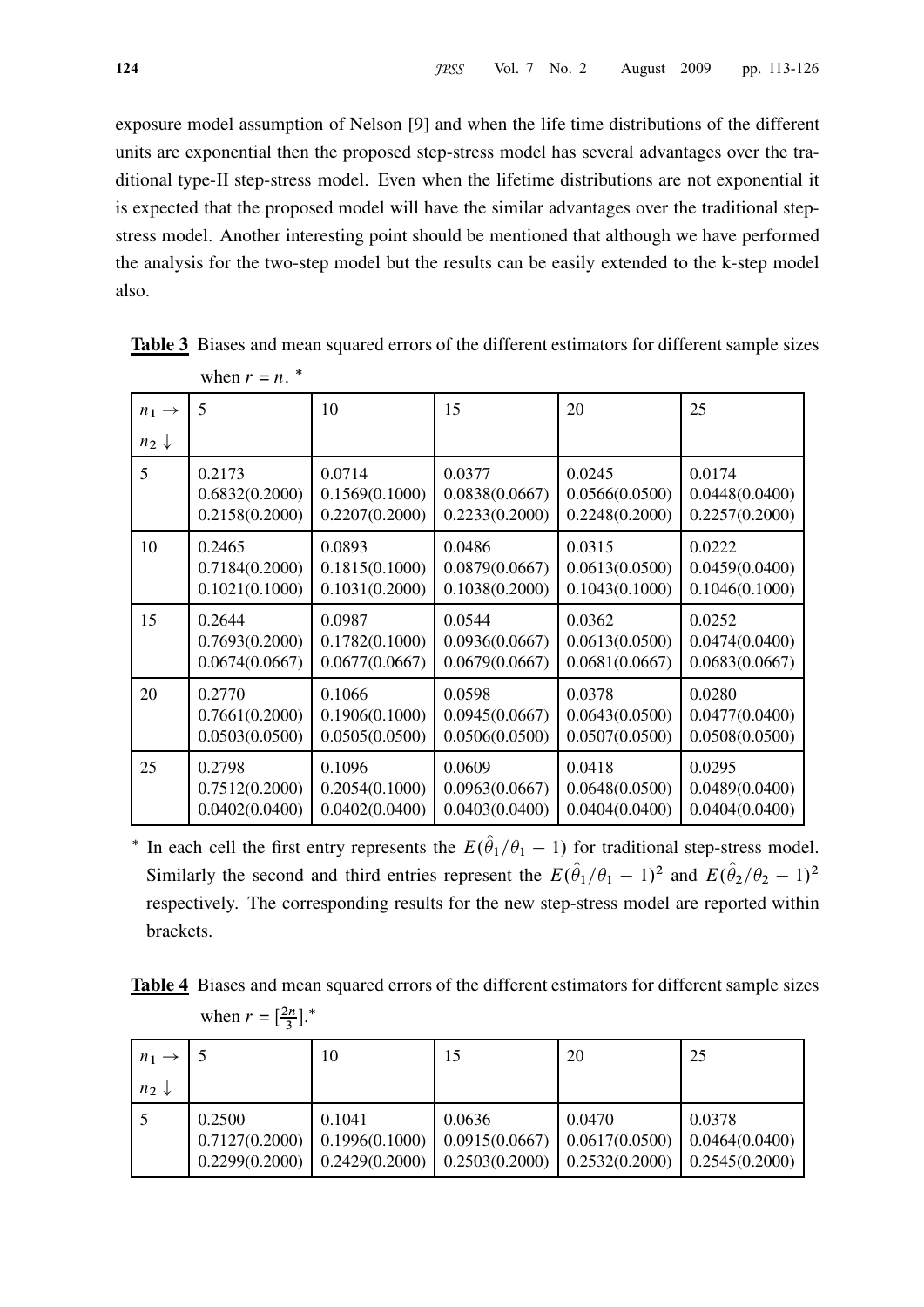exposure model assumption of Nelson [9] and when the life time distributions of the different units are exponential then the proposed step-stress model has several advantages over the traditional type-II step-stress model. Even when the lifetime distributions are not exponential it is expected that the proposed model will have the similar advantages over the traditional stepstress model. Another interesting point should be mentioned that although we have performed the analysis for the two-step model but the results can be easily extended to the k-step model also.

|                   | $VVIUII = U.$  |                |                |                |                |
|-------------------|----------------|----------------|----------------|----------------|----------------|
| $n_1 \rightarrow$ | 5              | 10             | 15             | 20             | 25             |
| $n_2 \downarrow$  |                |                |                |                |                |
| 5                 | 0.2173         | 0.0714         | 0.0377         | 0.0245         | 0.0174         |
|                   | 0.6832(0.2000) | 0.1569(0.1000) | 0.0838(0.0667) | 0.0566(0.0500) | 0.0448(0.0400) |
|                   | 0.2158(0.2000) | 0.2207(0.2000) | 0.2233(0.2000) | 0.2248(0.2000) | 0.2257(0.2000) |
| 10                | 0.2465         | 0.0893         | 0.0486         | 0.0315         | 0.0222         |
|                   | 0.7184(0.2000) | 0.1815(0.1000) | 0.0879(0.0667) | 0.0613(0.0500) | 0.0459(0.0400) |
|                   | 0.1021(0.1000) | 0.1031(0.2000) | 0.1038(0.2000) | 0.1043(0.1000) | 0.1046(0.1000) |
| 15                | 0.2644         | 0.0987         | 0.0544         | 0.0362         | 0.0252         |
|                   | 0.7693(0.2000) | 0.1782(0.1000) | 0.0936(0.0667) | 0.0613(0.0500) | 0.0474(0.0400) |
|                   | 0.0674(0.0667) | 0.0677(0.0667) | 0.0679(0.0667) | 0.0681(0.0667) | 0.0683(0.0667) |
| 20                | 0.2770         | 0.1066         | 0.0598         | 0.0378         | 0.0280         |
|                   | 0.7661(0.2000) | 0.1906(0.1000) | 0.0945(0.0667) | 0.0643(0.0500) | 0.0477(0.0400) |
|                   | 0.0503(0.0500) | 0.0505(0.0500) | 0.0506(0.0500) | 0.0507(0.0500) | 0.0508(0.0500) |
| 25                | 0.2798         | 0.1096         | 0.0609         | 0.0418         | 0.0295         |
|                   | 0.7512(0.2000) | 0.2054(0.1000) | 0.0963(0.0667) | 0.0648(0.0500) | 0.0489(0.0400) |
|                   | 0.0402(0.0400) | 0.0402(0.0400) | 0.0403(0.0400) | 0.0404(0.0400) | 0.0404(0.0400) |

Table 3 Biases and mean squared errors of the different estimators for different sample sizes when  $r = n$ .  $*$ 

<sup>\*</sup> In each cell the first entry represents the  $E(\theta_1/\theta_1-1)$  for traditional step-stress model. Similarly the second and third entries represent the  $E(\hat{\theta}_1/\theta_1-1)^2$  and  $E(\hat{\theta}_2/\theta_2-1)^2$ respectively. The corresponding results for the new step-stress model are reported within brackets.

Table 4 Biases and mean squared errors of the different estimators for different sample sizes when  $r = \left[\frac{2n}{3}\right]$  $\frac{2n}{3}$ ].<sup>\*</sup>

| $n_1 \rightarrow$ |                                            | 10                       |                                                                                     | 20                                                               | 25     |
|-------------------|--------------------------------------------|--------------------------|-------------------------------------------------------------------------------------|------------------------------------------------------------------|--------|
| $n_2 \downarrow$  |                                            |                          |                                                                                     |                                                                  |        |
|                   | 0.2500<br>0.7127(0.2000)<br>0.2299(0.2000) | 0.1041<br>0.1996(0.1000) | 0.0636<br>$0.2429(0.2000)$   $0.2503(0.2000)$   $0.2532(0.2000)$   $0.2545(0.2000)$ | 0.0470<br>$0.0915(0.0667)$   $0.0617(0.0500)$   $0.0464(0.0400)$ | 0.0378 |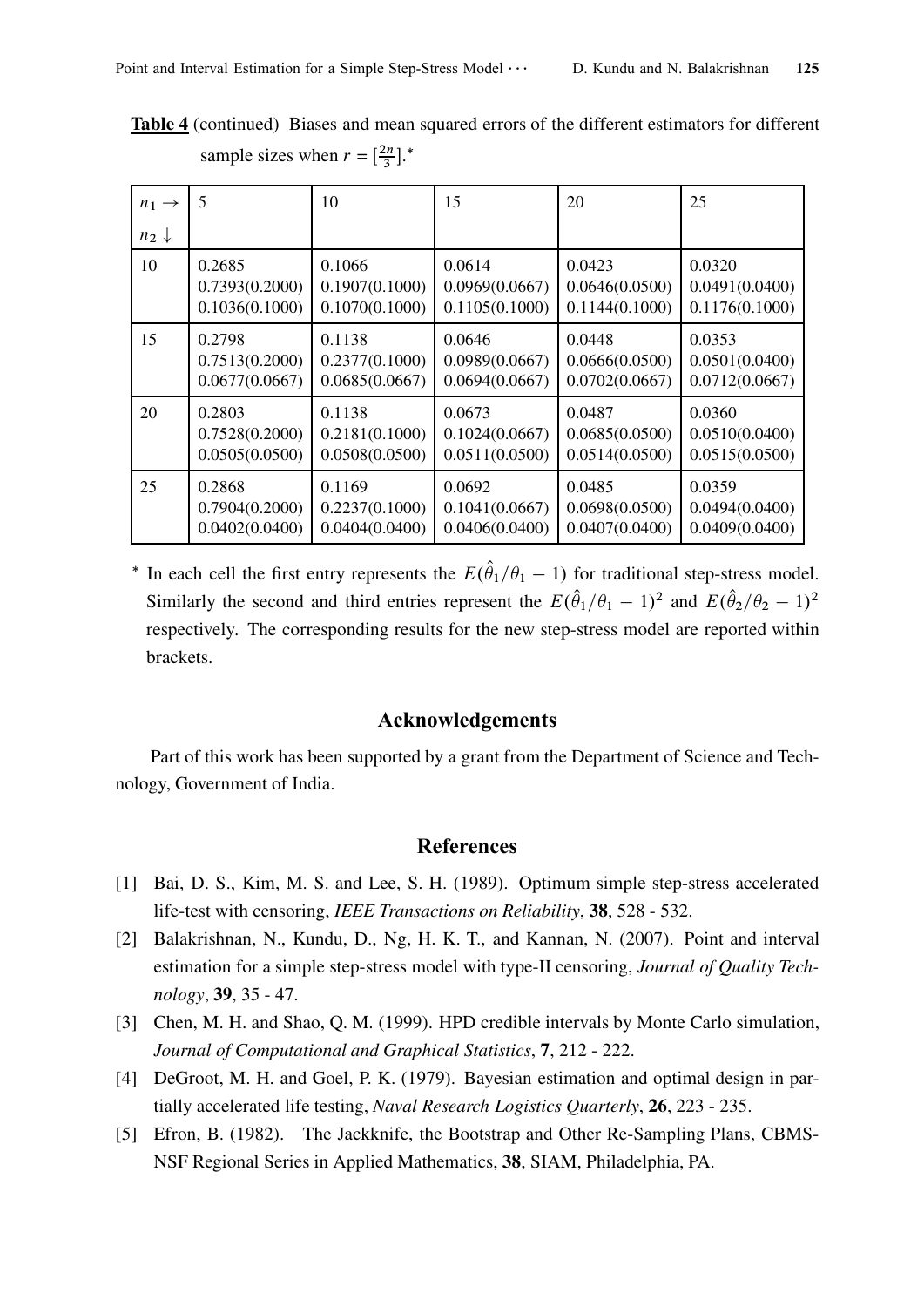Table 4 (continued) Biases and mean squared errors of the different estimators for different sample sizes when  $r = \left[\frac{2n}{3}\right]$  $\frac{\pi}{3}$ ].<sup>\*</sup>

| $n_1 \rightarrow$ | 5              | 10             | 15             | 20             | 25             |
|-------------------|----------------|----------------|----------------|----------------|----------------|
| $n_2 \downarrow$  |                |                |                |                |                |
| 10                | 0.2685         | 0.1066         | 0.0614         | 0.0423         | 0.0320         |
|                   | 0.7393(0.2000) | 0.1907(0.1000) | 0.0969(0.0667) | 0.0646(0.0500) | 0.0491(0.0400) |
|                   | 0.1036(0.1000) | 0.1070(0.1000) | 0.1105(0.1000) | 0.1144(0.1000) | 0.1176(0.1000) |
| 15                | 0.2798         | 0.1138         | 0.0646         | 0.0448         | 0.0353         |
|                   | 0.7513(0.2000) | 0.2377(0.1000) | 0.0989(0.0667) | 0.0666(0.0500) | 0.0501(0.0400) |
|                   | 0.0677(0.0667) | 0.0685(0.0667) | 0.0694(0.0667) | 0.0702(0.0667) | 0.0712(0.0667) |
| 20                | 0.2803         | 0.1138         | 0.0673         | 0.0487         | 0.0360         |
|                   | 0.7528(0.2000) | 0.2181(0.1000) | 0.1024(0.0667) | 0.0685(0.0500) | 0.0510(0.0400) |
|                   | 0.0505(0.0500) | 0.0508(0.0500) | 0.0511(0.0500) | 0.0514(0.0500) | 0.0515(0.0500) |
| 25                | 0.2868         | 0.1169         | 0.0692         | 0.0485         | 0.0359         |
|                   | 0.7904(0.2000) | 0.2237(0.1000) | 0.1041(0.0667) | 0.0698(0.0500) | 0.0494(0.0400) |
|                   | 0.0402(0.0400) | 0.0404(0.0400) | 0.0406(0.0400) | 0.0407(0.0400) | 0.0409(0.0400) |

<sup>\*</sup> In each cell the first entry represents the  $E(\theta_1/\theta_1-1)$  for traditional step-stress model. Similarly the second and third entries represent the  $E(\hat{\theta}_1/\theta_1 - 1)^2$  and  $E(\hat{\theta}_2/\theta_2 - 1)^2$ respectively. The corresponding results for the new step-stress model are reported within brackets.

## Acknowledgements

Part of this work has been supported by a grant from the Department of Science and Technology, Government of India.

# References

- [1] Bai, D. S., Kim, M. S. and Lee, S. H. (1989). Optimum simple step-stress accelerated life-test with censoring, IEEE Transactions on Reliability, 38, 528 - 532.
- [2] Balakrishnan, N., Kundu, D., Ng, H. K. T., and Kannan, N. (2007). Point and interval estimation for a simple step-stress model with type-II censoring, Journal of Quality Technology, 39, 35 - 47.
- [3] Chen, M. H. and Shao, Q. M. (1999). HPD credible intervals by Monte Carlo simulation, Journal of Computational and Graphical Statistics, 7, 212 - 222.
- [4] DeGroot, M. H. and Goel, P. K. (1979). Bayesian estimation and optimal design in partially accelerated life testing, Naval Research Logistics Quarterly, 26, 223 - 235.
- [5] Efron, B. (1982). The Jackknife, the Bootstrap and Other Re-Sampling Plans, CBMS-NSF Regional Series in Applied Mathematics, 38, SIAM, Philadelphia, PA.